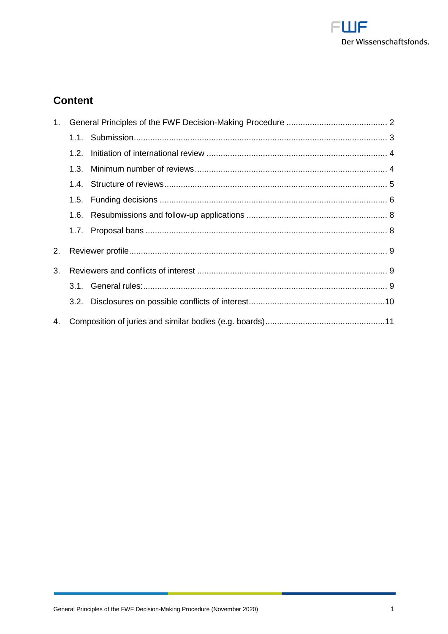

# **Content**

| 1. |      |  |  |
|----|------|--|--|
|    |      |  |  |
|    | 1.2. |  |  |
|    | 1.3. |  |  |
|    |      |  |  |
|    |      |  |  |
|    | 1.6. |  |  |
|    | 1.7. |  |  |
| 2. |      |  |  |
| 3. |      |  |  |
|    |      |  |  |
|    |      |  |  |
| 4. |      |  |  |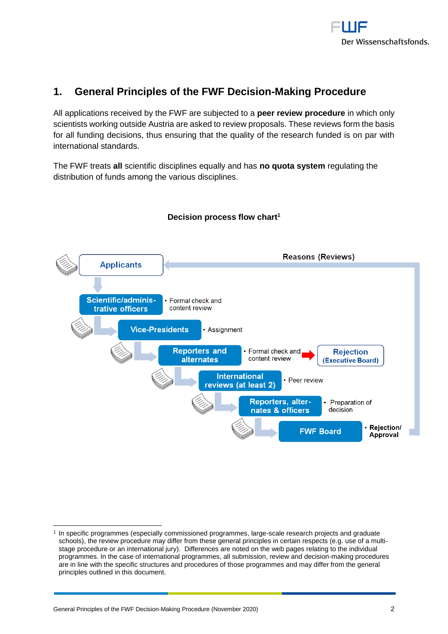

# <span id="page-1-0"></span>**1. General Principles of the FWF Decision-Making Procedure**

All applications received by the FWF are subjected to a **peer review procedure** in which only scientists working outside Austria are asked to review proposals. These reviews form the basis for all funding decisions, thus ensuring that the quality of the research funded is on par with international standards.

The FWF treats **all** scientific disciplines equally and has **no quota system** regulating the distribution of funds among the various disciplines.



## **Decision process flow chart<sup>1</sup>**

<sup>1</sup> In specific programmes (especially commissioned programmes, large-scale research projects and graduate schools), the review procedure may differ from these general principles in certain respects (e.g. use of a multistage procedure or an international jury). Differences are noted on the web pages relating to the individual programmes. In the case of international programmes, all submission, review and decision-making procedures are in line with the specific structures and procedures of those programmes and may differ from the general principles outlined in this document.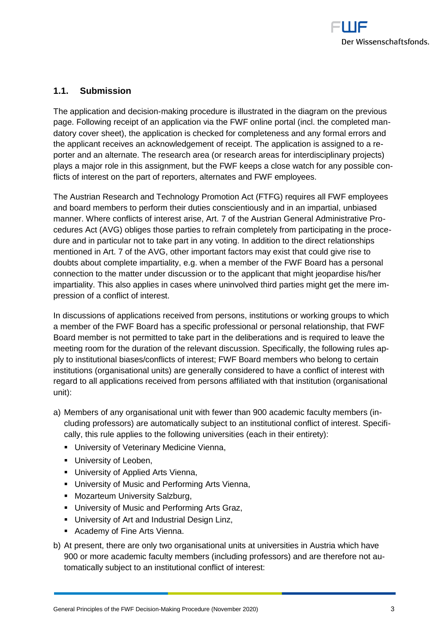

## <span id="page-2-0"></span>**1.1. Submission**

The application and decision-making procedure is illustrated in the diagram on the previous page. Following receipt of an application via the FWF online portal (incl. the completed mandatory cover sheet), the application is checked for completeness and any formal errors and the applicant receives an acknowledgement of receipt. The application is assigned to a reporter and an alternate. The research area (or research areas for interdisciplinary projects) plays a major role in this assignment, but the FWF keeps a close watch for any possible conflicts of interest on the part of reporters, alternates and FWF employees.

The Austrian Research and Technology Promotion Act (FTFG) requires all FWF employees and board members to perform their duties conscientiously and in an impartial, unbiased manner. Where conflicts of interest arise, Art. 7 of the Austrian General Administrative Procedures Act (AVG) obliges those parties to refrain completely from participating in the procedure and in particular not to take part in any voting. In addition to the direct relationships mentioned in Art. 7 of the AVG, other important factors may exist that could give rise to doubts about complete impartiality, e.g. when a member of the FWF Board has a personal connection to the matter under discussion or to the applicant that might jeopardise his/her impartiality. This also applies in cases where uninvolved third parties might get the mere impression of a conflict of interest.

In discussions of applications received from persons, institutions or working groups to which a member of the FWF Board has a specific professional or personal relationship, that FWF Board member is not permitted to take part in the deliberations and is required to leave the meeting room for the duration of the relevant discussion. Specifically, the following rules apply to institutional biases/conflicts of interest; FWF Board members who belong to certain institutions (organisational units) are generally considered to have a conflict of interest with regard to all applications received from persons affiliated with that institution (organisational unit):

- a) Members of any organisational unit with fewer than 900 academic faculty members (including professors) are automatically subject to an institutional conflict of interest. Specifically, this rule applies to the following universities (each in their entirety):
	- **E** University of Veterinary Medicine Vienna,
	- **■** University of Leoben,
	- University of Applied Arts Vienna,
	- **■** University of Music and Performing Arts Vienna,
	- Mozarteum University Salzburg,
	- **■** University of Music and Performing Arts Graz,
	- **■** University of Art and Industrial Design Linz,
	- **EXEC** Academy of Fine Arts Vienna.
- b) At present, there are only two organisational units at universities in Austria which have 900 or more academic faculty members (including professors) and are therefore not automatically subject to an institutional conflict of interest: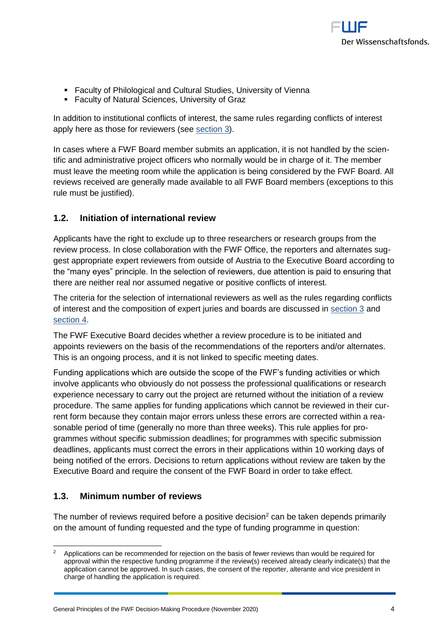

- **EXECULTE:** Faculty of Philological and Cultural Studies, University of Vienna
- **EXECUTE:** Faculty of Natural Sciences, University of Graz

In addition to institutional conflicts of interest, the same rules regarding conflicts of interest apply here as those for reviewers (see [section 3\)](#page-8-1).

In cases where a FWF Board member submits an application, it is not handled by the scientific and administrative project officers who normally would be in charge of it. The member must leave the meeting room while the application is being considered by the FWF Board. All reviews received are generally made available to all FWF Board members (exceptions to this rule must be justified).

## <span id="page-3-0"></span>**1.2. Initiation of international review**

Applicants have the right to exclude up to three researchers or research groups from the review process. In close collaboration with the FWF Office, the reporters and alternates suggest appropriate expert reviewers from outside of Austria to the Executive Board according to the "many eyes" principle. In the selection of reviewers, due attention is paid to ensuring that there are neither real nor assumed negative or positive conflicts of interest.

The criteria for the selection of international reviewers as well as the rules regarding conflicts of interest and the composition of expert juries and boards are discussed in [section 3](#page-8-1) and [section 4.](#page-10-0)

The FWF Executive Board decides whether a review procedure is to be initiated and appoints reviewers on the basis of the recommendations of the reporters and/or alternates. This is an ongoing process, and it is not linked to specific meeting dates.

Funding applications which are outside the scope of the FWF's funding activities or which involve applicants who obviously do not possess the professional qualifications or research experience necessary to carry out the project are returned without the initiation of a review procedure. The same applies for funding applications which cannot be reviewed in their current form because they contain major errors unless these errors are corrected within a reasonable period of time (generally no more than three weeks). This rule applies for programmes without specific submission deadlines; for programmes with specific submission deadlines, applicants must correct the errors in their applications within 10 working days of being notified of the errors. Decisions to return applications without review are taken by the Executive Board and require the consent of the FWF Board in order to take effect.

## <span id="page-3-1"></span>**1.3. Minimum number of reviews**

 $\overline{a}$ 

The number of reviews required before a positive decision<sup>2</sup> can be taken depends primarily on the amount of funding requested and the type of funding programme in question:

Applications can be recommended for rejection on the basis of fewer reviews than would be required for approval within the respective funding programme if the review(s) received already clearly indicate(s) that the application cannot be approved. In such cases, the consent of the reporter, alterante and vice president in charge of handling the application is required.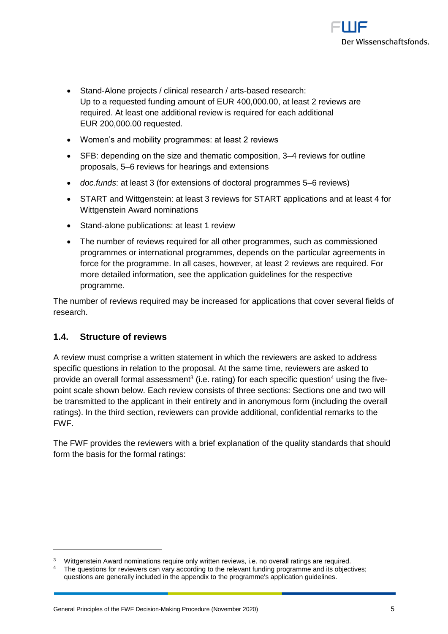

- Stand-Alone projects / clinical research / arts-based research: Up to a requested funding amount of EUR 400,000.00, at least 2 reviews are required. At least one additional review is required for each additional EUR 200,000.00 requested.
- Women's and mobility programmes: at least 2 reviews
- SFB: depending on the size and thematic composition, 3–4 reviews for outline proposals, 5–6 reviews for hearings and extensions
- *doc.funds*: at least 3 (for extensions of doctoral programmes 5–6 reviews)
- START and Wittgenstein: at least 3 reviews for START applications and at least 4 for Wittgenstein Award nominations
- Stand-alone publications: at least 1 review
- The number of reviews required for all other programmes, such as commissioned programmes or international programmes, depends on the particular agreements in force for the programme. In all cases, however, at least 2 reviews are required. For more detailed information, see the application guidelines for the respective programme.

The number of reviews required may be increased for applications that cover several fields of research.

## <span id="page-4-0"></span>**1.4. Structure of reviews**

A review must comprise a written statement in which the reviewers are asked to address specific questions in relation to the proposal. At the same time, reviewers are asked to provide an overall formal assessment<sup>3</sup> (i.e. rating) for each specific question<sup>4</sup> using the fivepoint scale shown below. Each review consists of three sections: Sections one and two will be transmitted to the applicant in their entirety and in anonymous form (including the overall ratings). In the third section, reviewers can provide additional, confidential remarks to the FWF.

The FWF provides the reviewers with a brief explanation of the quality standards that should form the basis for the formal ratings:

<sup>3</sup> Wittgenstein Award nominations require only written reviews, i.e. no overall ratings are required.

The questions for reviewers can vary according to the relevant funding programme and its objectives; questions are generally included in the appendix to the programme's application guidelines.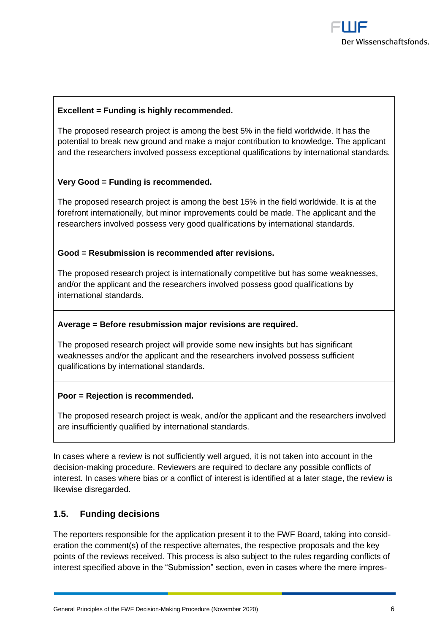

#### **Excellent = Funding is highly recommended.**

The proposed research project is among the best 5% in the field worldwide. It has the potential to break new ground and make a major contribution to knowledge. The applicant and the researchers involved possess exceptional qualifications by international standards.

#### **Very Good = Funding is recommended.**

The proposed research project is among the best 15% in the field worldwide. It is at the forefront internationally, but minor improvements could be made. The applicant and the researchers involved possess very good qualifications by international standards.

#### **Good = Resubmission is recommended after revisions.**

The proposed research project is internationally competitive but has some weaknesses, and/or the applicant and the researchers involved possess good qualifications by international standards.

#### **Average = Before resubmission major revisions are required.**

The proposed research project will provide some new insights but has significant weaknesses and/or the applicant and the researchers involved possess sufficient qualifications by international standards.

#### **Poor = Rejection is recommended.**

The proposed research project is weak, and/or the applicant and the researchers involved are insufficiently qualified by international standards.

In cases where a review is not sufficiently well argued, it is not taken into account in the decision-making procedure. Reviewers are required to declare any possible conflicts of interest. In cases where bias or a conflict of interest is identified at a later stage, the review is likewise disregarded.

#### <span id="page-5-0"></span>**1.5. Funding decisions**

The reporters responsible for the application present it to the FWF Board, taking into consideration the comment(s) of the respective alternates, the respective proposals and the key points of the reviews received. This process is also subject to the rules regarding conflicts of interest specified above in the "Submission" section, even in cases where the mere impres-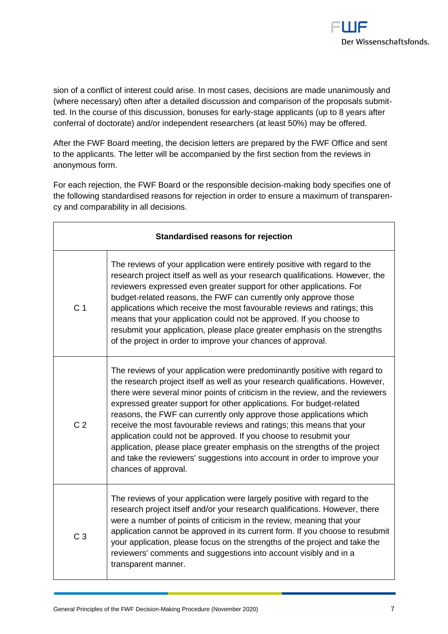

sion of a conflict of interest could arise. In most cases, decisions are made unanimously and (where necessary) often after a detailed discussion and comparison of the proposals submitted. In the course of this discussion, bonuses for early-stage applicants (up to 8 years after conferral of doctorate) and/or independent researchers (at least 50%) may be offered.

After the FWF Board meeting, the decision letters are prepared by the FWF Office and sent to the applicants. The letter will be accompanied by the first section from the reviews in anonymous form.

For each rejection, the FWF Board or the responsible decision-making body specifies one of the following standardised reasons for rejection in order to ensure a maximum of transparency and comparability in all decisions.

| <b>Standardised reasons for rejection</b> |                                                                                                                                                                                                                                                                                                                                                                                                                                                                                                                                                                                                                                                                                                                               |  |
|-------------------------------------------|-------------------------------------------------------------------------------------------------------------------------------------------------------------------------------------------------------------------------------------------------------------------------------------------------------------------------------------------------------------------------------------------------------------------------------------------------------------------------------------------------------------------------------------------------------------------------------------------------------------------------------------------------------------------------------------------------------------------------------|--|
| C <sub>1</sub>                            | The reviews of your application were entirely positive with regard to the<br>research project itself as well as your research qualifications. However, the<br>reviewers expressed even greater support for other applications. For<br>budget-related reasons, the FWF can currently only approve those<br>applications which receive the most favourable reviews and ratings; this<br>means that your application could not be approved. If you choose to<br>resubmit your application, please place greater emphasis on the strengths<br>of the project in order to improve your chances of approval.                                                                                                                        |  |
| C <sub>2</sub>                            | The reviews of your application were predominantly positive with regard to<br>the research project itself as well as your research qualifications. However,<br>there were several minor points of criticism in the review, and the reviewers<br>expressed greater support for other applications. For budget-related<br>reasons, the FWF can currently only approve those applications which<br>receive the most favourable reviews and ratings; this means that your<br>application could not be approved. If you choose to resubmit your<br>application, please place greater emphasis on the strengths of the project<br>and take the reviewers' suggestions into account in order to improve your<br>chances of approval. |  |
| C <sub>3</sub>                            | The reviews of your application were largely positive with regard to the<br>research project itself and/or your research qualifications. However, there<br>were a number of points of criticism in the review, meaning that your<br>application cannot be approved in its current form. If you choose to resubmit<br>your application, please focus on the strengths of the project and take the<br>reviewers' comments and suggestions into account visibly and in a<br>transparent manner.                                                                                                                                                                                                                                  |  |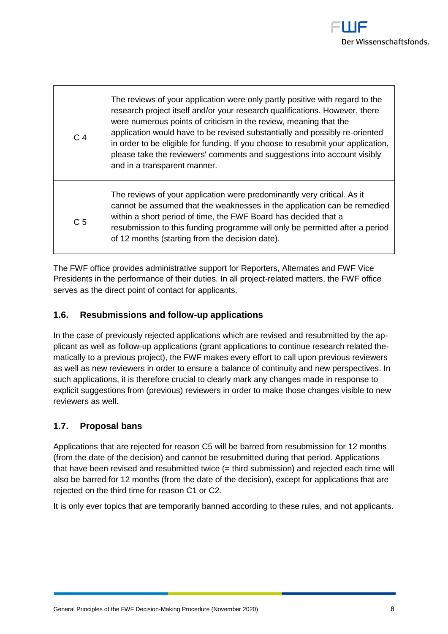

| C <sub>4</sub> | The reviews of your application were only partly positive with regard to the<br>research project itself and/or your research qualifications. However, there<br>were numerous points of criticism in the review, meaning that the<br>application would have to be revised substantially and possibly re-oriented<br>in order to be eligible for funding. If you choose to resubmit your application,<br>please take the reviewers' comments and suggestions into account visibly<br>and in a transparent manner. |
|----------------|-----------------------------------------------------------------------------------------------------------------------------------------------------------------------------------------------------------------------------------------------------------------------------------------------------------------------------------------------------------------------------------------------------------------------------------------------------------------------------------------------------------------|
| C <sub>5</sub> | The reviews of your application were predominantly very critical. As it<br>cannot be assumed that the weaknesses in the application can be remedied<br>within a short period of time, the FWF Board has decided that a<br>resubmission to this funding programme will only be permitted after a period<br>of 12 months (starting from the decision date).                                                                                                                                                       |

The FWF office provides administrative support for Reporters, Alternates and FWF Vice Presidents in the performance of their duties. In all project-related matters, the FWF office serves as the direct point of contact for applicants.

## <span id="page-7-0"></span>**1.6. Resubmissions and follow-up applications**

In the case of previously rejected applications which are revised and resubmitted by the applicant as well as follow-up applications (grant applications to continue research related thematically to a previous project), the FWF makes every effort to call upon previous reviewers as well as new reviewers in order to ensure a balance of continuity and new perspectives. In such applications, it is therefore crucial to clearly mark any changes made in response to explicit suggestions from (previous) reviewers in order to make those changes visible to new reviewers as well.

## <span id="page-7-1"></span>**1.7. Proposal bans**

Applications that are rejected for reason C5 will be barred from resubmission for 12 months (from the date of the decision) and cannot be resubmitted during that period. Applications that have been revised and resubmitted twice (= third submission) and rejected each time will also be barred for 12 months (from the date of the decision), except for applications that are rejected on the third time for reason C1 or C2.

It is only ever topics that are temporarily banned according to these rules, and not applicants.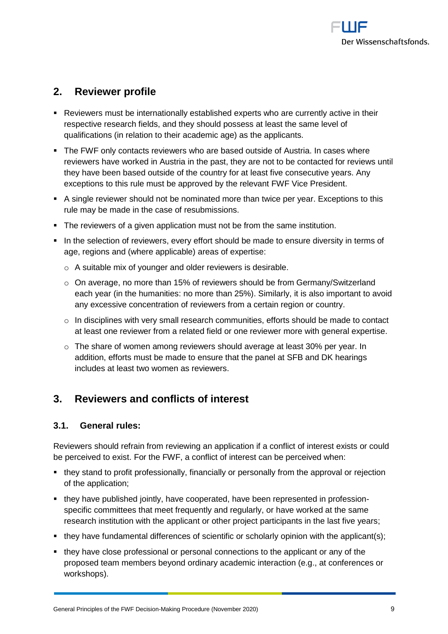

# <span id="page-8-0"></span>**2. Reviewer profile**

- Reviewers must be internationally established experts who are currently active in their respective research fields, and they should possess at least the same level of qualifications (in relation to their academic age) as the applicants.
- The FWF only contacts reviewers who are based outside of Austria. In cases where reviewers have worked in Austria in the past, they are not to be contacted for reviews until they have been based outside of the country for at least five consecutive years. Any exceptions to this rule must be approved by the relevant FWF Vice President.
- A single reviewer should not be nominated more than twice per year. Exceptions to this rule may be made in the case of resubmissions.
- The reviewers of a given application must not be from the same institution.
- In the selection of reviewers, every effort should be made to ensure diversity in terms of age, regions and (where applicable) areas of expertise:
	- o A suitable mix of younger and older reviewers is desirable.
	- $\circ$  On average, no more than 15% of reviewers should be from Germany/Switzerland each year (in the humanities: no more than 25%). Similarly, it is also important to avoid any excessive concentration of reviewers from a certain region or country.
	- $\circ$  In disciplines with very small research communities, efforts should be made to contact at least one reviewer from a related field or one reviewer more with general expertise.
	- $\circ$  The share of women among reviewers should average at least 30% per year. In addition, efforts must be made to ensure that the panel at SFB and DK hearings includes at least two women as reviewers.

## <span id="page-8-1"></span>**3. Reviewers and conflicts of interest**

### <span id="page-8-2"></span>**3.1. General rules:**

Reviewers should refrain from reviewing an application if a conflict of interest exists or could be perceived to exist. For the FWF, a conflict of interest can be perceived when:

- they stand to profit professionally, financially or personally from the approval or rejection of the application;
- they have published jointly, have cooperated, have been represented in professionspecific committees that meet frequently and regularly, or have worked at the same research institution with the applicant or other project participants in the last five years;
- they have fundamental differences of scientific or scholarly opinion with the applicant(s);
- they have close professional or personal connections to the applicant or any of the proposed team members beyond ordinary academic interaction (e.g., at conferences or workshops).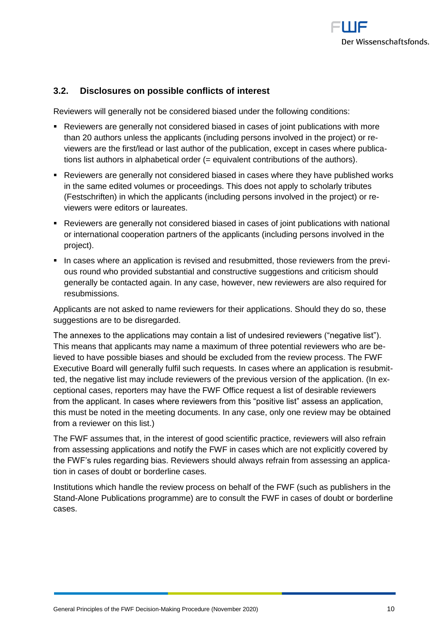

## <span id="page-9-0"></span>**3.2. Disclosures on possible conflicts of interest**

Reviewers will generally not be considered biased under the following conditions:

- Reviewers are generally not considered biased in cases of joint publications with more than 20 authors unless the applicants (including persons involved in the project) or reviewers are the first/lead or last author of the publication, except in cases where publications list authors in alphabetical order (= equivalent contributions of the authors).
- Reviewers are generally not considered biased in cases where they have published works in the same edited volumes or proceedings. This does not apply to scholarly tributes (Festschriften) in which the applicants (including persons involved in the project) or reviewers were editors or laureates.
- Reviewers are generally not considered biased in cases of joint publications with national or international cooperation partners of the applicants (including persons involved in the project).
- In cases where an application is revised and resubmitted, those reviewers from the previous round who provided substantial and constructive suggestions and criticism should generally be contacted again. In any case, however, new reviewers are also required for resubmissions.

Applicants are not asked to name reviewers for their applications. Should they do so, these suggestions are to be disregarded.

The annexes to the applications may contain a list of undesired reviewers ("negative list"). This means that applicants may name a maximum of three potential reviewers who are believed to have possible biases and should be excluded from the review process. The FWF Executive Board will generally fulfil such requests. In cases where an application is resubmitted, the negative list may include reviewers of the previous version of the application. (In exceptional cases, reporters may have the FWF Office request a list of desirable reviewers from the applicant. In cases where reviewers from this "positive list" assess an application, this must be noted in the meeting documents. In any case, only one review may be obtained from a reviewer on this list.)

The FWF assumes that, in the interest of good scientific practice, reviewers will also refrain from assessing applications and notify the FWF in cases which are not explicitly covered by the FWF's rules regarding bias. Reviewers should always refrain from assessing an application in cases of doubt or borderline cases.

Institutions which handle the review process on behalf of the FWF (such as publishers in the Stand-Alone Publications programme) are to consult the FWF in cases of doubt or borderline cases.